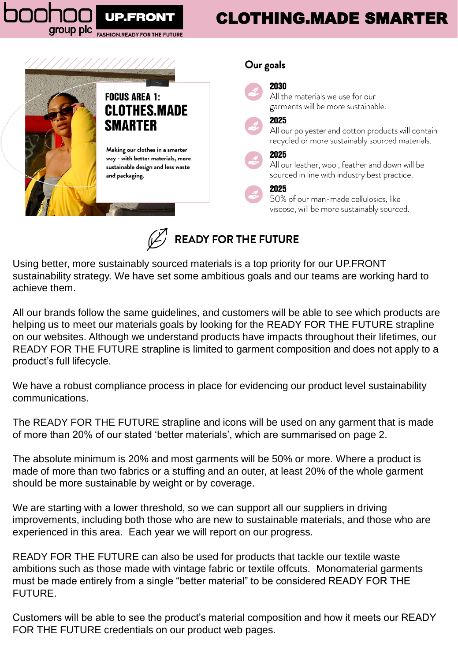# CLOTHING.MADE SMARTER



group plc

**FASHION.READY FOR THE** 



Using better, more sustainably sourced materials is a top priority for our UP.FRONT sustainability strategy. We have set some ambitious goals and our teams are working hard to achieve them.

All our brands follow the same guidelines, and customers will be able to see which products are helping us to meet our materials goals by looking for the READY FOR THE FUTURE strapline on our websites. Although we understand products have impacts throughout their lifetimes, our READY FOR THE FUTURE strapline is limited to garment composition and does not apply to a product's full lifecycle.

We have a robust compliance process in place for evidencing our product level sustainability communications.

The READY FOR THE FUTURE strapline and icons will be used on any garment that is made of more than 20% of our stated 'better materials', which are summarised on page 2.

The absolute minimum is 20% and most garments will be 50% or more. Where a product is made of more than two fabrics or a stuffing and an outer, at least 20% of the whole garment should be more sustainable by weight or by coverage.

We are starting with a lower threshold, so we can support all our suppliers in driving improvements, including both those who are new to sustainable materials, and those who are experienced in this area. Each year we will report on our progress.

READY FOR THE FUTURE can also be used for products that tackle our textile waste ambitions such as those made with vintage fabric or textile offcuts. Monomaterial garments must be made entirely from a single "better material" to be considered READY FOR THE FUTURE.

Customers will be able to see the product's material composition and how it meets our READY FOR THE FUTURE credentials on our product web pages.